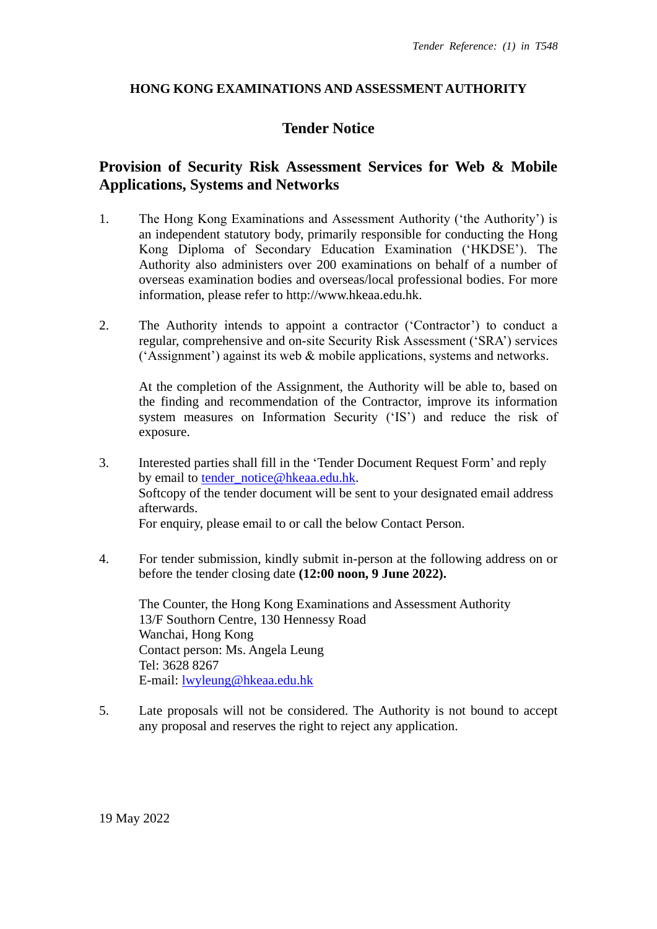### **HONG KONG EXAMINATIONS AND ASSESSMENT AUTHORITY**

## **Tender Notice**

## **Provision of Security Risk Assessment Services for Web & Mobile Applications, Systems and Networks**

- 1. The Hong Kong Examinations and Assessment Authority ('the Authority') is an independent statutory body, primarily responsible for conducting the Hong Kong Diploma of Secondary Education Examination ('HKDSE'). The Authority also administers over 200 examinations on behalf of a number of overseas examination bodies and overseas/local professional bodies. For more information, please refer to [http://www.hkeaa.edu.hk.](http://www.hkeaa.edu.hk/)
- 2. The Authority intends to appoint a contractor ('Contractor') to conduct a regular, comprehensive and on-site Security Risk Assessment ('SRA') services ('Assignment') against its web & mobile applications, systems and networks.

At the completion of the Assignment, the Authority will be able to, based on the finding and recommendation of the Contractor, improve its information system measures on Information Security ('IS') and reduce the risk of exposure.

- 3. Interested parties shall fill in the 'Tender Document Request Form' and reply by email to tender notice@hkeaa.edu.hk. Softcopy of the tender document will be sent to your designated email address afterwards. For enquiry, please email to or call the below Contact Person.
- 4. For tender submission, kindly submit in-person at the following address on or before the tender closing date **(12:00 noon, 9 June 2022).**

The Counter, the Hong Kong Examinations and Assessment Authority 13/F Southorn Centre, 130 Hennessy Road Wanchai, Hong Kong Contact person: Ms. Angela Leung Tel: 3628 8267 E-mail: [lwyleung@hkeaa.edu.hk](mailto:lwyleung@hkeaa.edu.hk)

5. Late proposals will not be considered. The Authority is not bound to accept any proposal and reserves the right to reject any application.

19 May 2022